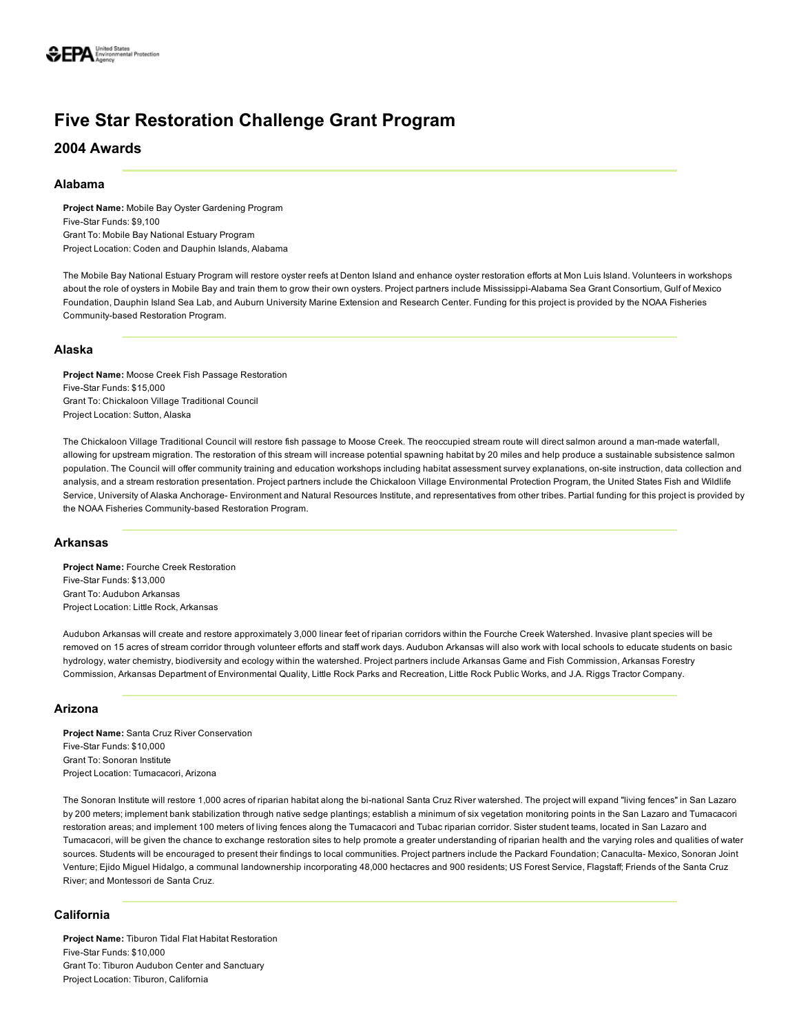# Five Star Restoration Challenge Grant Program

2004 Awards

## Alabama

Project Name: Mobile Bay Oyster Gardening Program Five-Star Funds: \$9,100 Grant To: Mobile Bay National Estuary Program Project Location: Coden and Dauphin Islands, Alabama

The Mobile Bay National Estuary Program will restore oyster reefs at Denton Island and enhance oyster restoration efforts at Mon Luis Island. Volunteers in workshops about the role of oysters in Mobile Bay and train them to grow their own oysters. Project partners include Mississippi-Alabama Sea Grant Consortium, Gulf of Mexico Foundation, Dauphin Island Sea Lab, and Auburn University Marine Extension and Research Center. Funding for this project is provided by the NOAA Fisheries Community-based Restoration Program.

## Alaska

Project Name: Moose Creek Fish Passage Restoration Five-Star Funds: \$15,000 Grant To: Chickaloon Village Traditional Council Project Location: Sutton, Alaska

The Chickaloon Village Traditional Council will restore fish passage to Moose Creek. The reoccupied stream route will direct salmon around a manmade waterfall, allowing for upstream migration. The restoration of this stream will increase potential spawning habitat by 20 miles and help produce a sustainable subsistence salmon population. The Council will offer community training and education workshops including habitat assessment survey explanations, on-site instruction, data collection and analysis, and a stream restoration presentation. Project partners include the Chickaloon Village Environmental Protection Program, the United States Fish and Wildlife Service, University of Alaska Anchorage- Environment and Natural Resources Institute, and representatives from other tribes. Partial funding for this project is provided by the NOAA Fisheries Community-based Restoration Program.

## Arkansas

Project Name: Fourche Creek Restoration Five-Star Funds: \$13,000 Grant To: Audubon Arkansas Project Location: Little Rock, Arkansas

Audubon Arkansas will create and restore approximately 3,000 linear feet of riparian corridors within the Fourche Creek Watershed. Invasive plant species will be removed on 15 acres of stream corridor through volunteer efforts and staff work days. Audubon Arkansas will also work with local schools to educate students on basic hydrology, water chemistry, biodiversity and ecology within the watershed. Project partners include Arkansas Game and Fish Commission, Arkansas Forestry Commission, Arkansas Department of Environmental Quality, Little Rock Parks and Recreation, Little Rock Public Works, and J.A. Riggs Tractor Company.

## Arizona

Project Name: Santa Cruz River Conservation Five-Star Funds: \$10,000 Grant To: Sonoran Institute Project Location: Tumacacori, Arizona

The Sonoran Institute will restore 1,000 acres of riparian habitat along the bi-national Santa Cruz River watershed. The project will expand "living fences" in San Lazaro by 200 meters; implement bank stabilization through native sedge plantings; establish a minimum of six vegetation monitoring points in the San Lazaro and Tumacacori restoration areas; and implement 100 meters of living fences along the Tumacacori and Tubac riparian corridor. Sister student teams, located in San Lazaro and Tumacacori, will be given the chance to exchange restoration sites to help promote a greater understanding of riparian health and the varying roles and qualities of water sources. Students will be encouraged to present their findings to local communities. Project partners include the Packard Foundation; Canaculta-Mexico, Sonoran Joint Venture; Ejido Miguel Hidalgo, a communal landownership incorporating 48,000 hectacres and 900 residents; US Forest Service, Flagstaff; Friends of the Santa Cruz River; and Montessori de Santa Cruz.

# California

Project Name: Tiburon Tidal Flat Habitat Restoration Five-Star Funds: \$10,000 Grant To: Tiburon Audubon Center and Sanctuary Project Location: Tiburon, California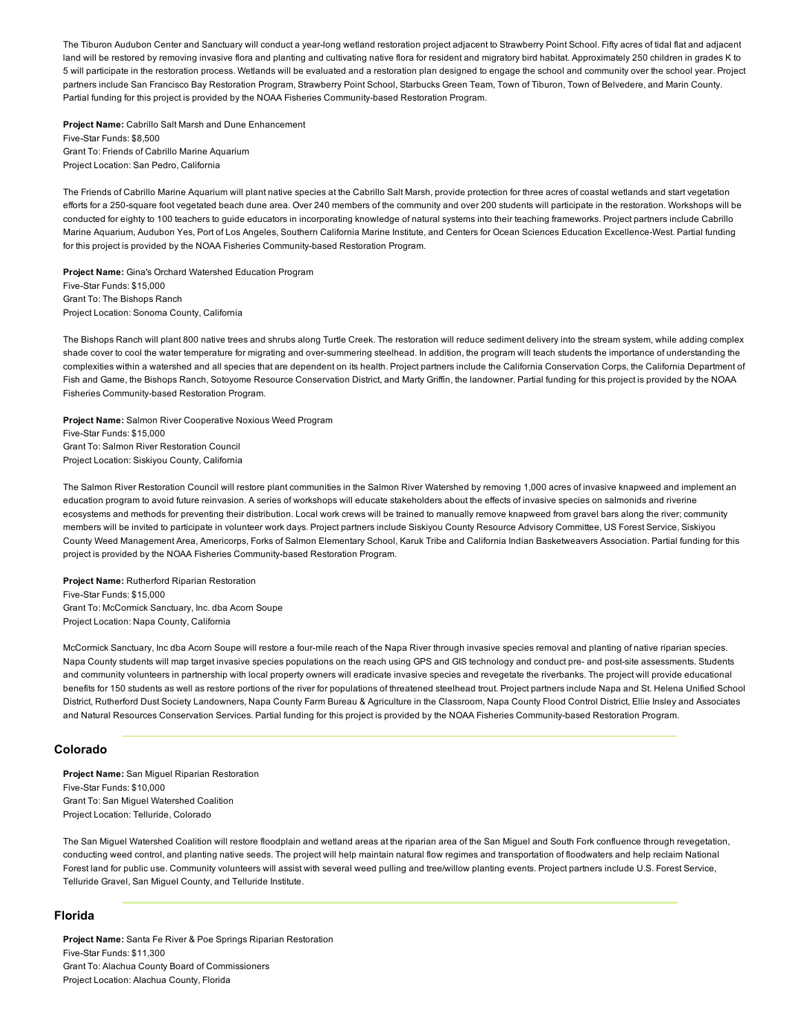The Tiburon Audubon Center and Sanctuary will conduct a year-long wetland restoration project adjacent to Strawberry Point School. Fifty acres of tidal flat and adjacent land will be restored by removing invasive flora and planting and cultivating native flora for resident and migratory bird habitat. Approximately 250 children in grades K to 5 will participate in the restoration process. Wetlands will be evaluated and a restoration plan designed to engage the school and community over the school year. Project partners include San Francisco Bay Restoration Program, Strawberry Point School, Starbucks Green Team, Town of Tiburon, Town of Belvedere, and Marin County. Partial funding for this project is provided by the NOAA Fisheries Community-based Restoration Program.

Project Name: Cabrillo Salt Marsh and Dune Enhancement Five-Star Funds: \$8,500 Grant To: Friends of Cabrillo Marine Aquarium Project Location: San Pedro, California

The Friends of Cabrillo Marine Aquarium will plant native species at the Cabrillo Salt Marsh, provide protection for three acres of coastal wetlands and start vegetation efforts for a 250-square foot vegetated beach dune area. Over 240 members of the community and over 200 students will participate in the restoration. Workshops will be conducted for eighty to 100 teachers to guide educators in incorporating knowledge of natural systems into their teaching frameworks. Project partners include Cabrillo Marine Aquarium, Audubon Yes, Port of Los Angeles, Southern California Marine Institute, and Centers for Ocean Sciences Education Excellence-West. Partial funding for this project is provided by the NOAA Fisheries Community-based Restoration Program.

Project Name: Gina's Orchard Watershed Education Program Five-Star Funds: \$15,000 Grant To: The Bishops Ranch Project Location: Sonoma County, California

The Bishops Ranch will plant 800 native trees and shrubs along Turtle Creek. The restoration will reduce sediment delivery into the stream system, while adding complex shade cover to cool the water temperature for migrating and over-summering steelhead. In addition, the program will teach students the importance of understanding the complexities within a watershed and all species that are dependent on its health. Project partners include the California Conservation Corps, the California Department of Fish and Game, the Bishops Ranch, Sotoyome Resource Conservation District, and Marty Griffin, the landowner. Partial funding for this project is provided by the NOAA Fisheries Community-based Restoration Program.

Project Name: Salmon River Cooperative Noxious Weed Program Five-Star Funds: \$15,000 Grant To: Salmon River Restoration Council Project Location: Siskiyou County, California

The Salmon River Restoration Council will restore plant communities in the Salmon River Watershed by removing 1,000 acres of invasive knapweed and implement an education program to avoid future reinvasion. A series of workshops will educate stakeholders about the effects of invasive species on salmonids and riverine ecosystems and methods for preventing their distribution. Local work crews will be trained to manually remove knapweed from gravel bars along the river; community members will be invited to participate in volunteer work days. Project partners include Siskiyou County Resource Advisory Committee, US Forest Service, Siskiyou County Weed Management Area, Americorps, Forks of Salmon Elementary School, Karuk Tribe and California Indian Basketweavers Association. Partial funding for this project is provided by the NOAA Fisheries Community-based Restoration Program.

Project Name: Rutherford Riparian Restoration Five-Star Funds: \$15,000 Grant To: McCormick Sanctuary, Inc. dba Acorn Soupe Project Location: Napa County, California

McCormick Sanctuary, Inc dba Acorn Soupe will restore a four-mile reach of the Napa River through invasive species removal and planting of native riparian species. Napa County students will map target invasive species populations on the reach using GPS and GIS technology and conduct pre- and post-site assessments. Students and community volunteers in partnership with local property owners will eradicate invasive species and revegetate the riverbanks. The project will provide educational benefits for 150 students as well as restore portions of the river for populations of threatened steelhead trout. Project partners include Napa and St. Helena Unified School District, Rutherford Dust Society Landowners, Napa County Farm Bureau & Agriculture in the Classroom, Napa County Flood Control District, Ellie Insley and Associates and Natural Resources Conservation Services. Partial funding for this project is provided by the NOAA Fisheries Community-based Restoration Program.

## Colorado

Project Name: San Miguel Riparian Restoration Five-Star Funds: \$10,000 Grant To: San Miguel Watershed Coalition Project Location: Telluride, Colorado

The San Miguel Watershed Coalition will restore floodplain and wetland areas at the riparian area of the San Miguel and South Fork confluence through revegetation, conducting weed control, and planting native seeds. The project will help maintain natural flow regimes and transportation of floodwaters and help reclaim National Forest land for public use. Community volunteers will assist with several weed pulling and tree/willow planting events. Project partners include U.S. Forest Service, Telluride Gravel, San Miguel County, and Telluride Institute.

## Florida

Project Name: Santa Fe River & Poe Springs Riparian Restoration Five-Star Funds: \$11,300 Grant To: Alachua County Board of Commissioners Project Location: Alachua County, Florida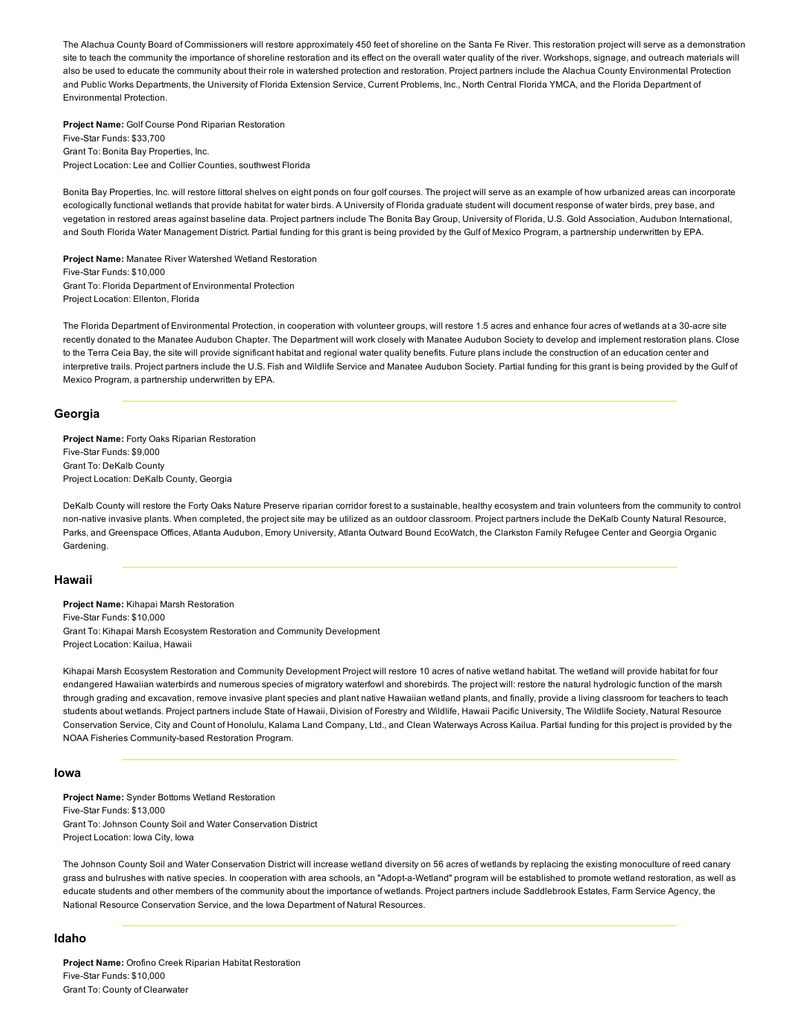The Alachua County Board of Commissioners will restore approximately 450 feet of shoreline on the Santa Fe River. This restoration project will serve as a demonstration site to teach the community the importance of shoreline restoration and its effect on the overall water quality of the river. Workshops, signage, and outreach materials will also be used to educate the community about their role in watershed protection and restoration. Project partners include the Alachua County Environmental Protection and Public Works Departments, the University of Florida Extension Service, Current Problems, Inc., North Central Florida YMCA, and the Florida Department of Environmental Protection.

Project Name: Golf Course Pond Riparian Restoration Five-Star Funds: \$33,700 Grant To: Bonita Bay Properties, Inc. Project Location: Lee and Collier Counties, southwest Florida

Bonita Bay Properties, Inc. will restore littoral shelves on eight ponds on four golf courses. The project will serve as an example of how urbanized areas can incorporate ecologically functional wetlands that provide habitat for water birds. A University of Florida graduate student will document response of water birds, prey base, and vegetation in restored areas against baseline data. Project partners include The Bonita Bay Group, University of Florida, U.S. Gold Association, Audubon International, and South Florida Water Management District. Partial funding for this grant is being provided by the Gulf of Mexico Program, a partnership underwritten by EPA.

Project Name: Manatee River Watershed Wetland Restoration Five-Star Funds: \$10,000 Grant To: Florida Department of Environmental Protection Project Location: Ellenton, Florida

The Florida Department of Environmental Protection, in cooperation with volunteer groups, will restore 1.5 acres and enhance four acres of wetlands at a 30-acre site recently donated to the Manatee Audubon Chapter. The Department will work closely with Manatee Audubon Society to develop and implement restoration plans. Close to the Terra Ceia Bay, the site will provide significant habitat and regional water quality benefits. Future plans include the construction of an education center and interpretive trails. Project partners include the U.S. Fish and Wildlife Service and Manatee Audubon Society. Partial funding for this grant is being provided by the Gulf of Mexico Program, a partnership underwritten by EPA.

#### Georgia

Project Name: Forty Oaks Riparian Restoration Five-Star Funds: \$9,000 Grant To: DeKalb County Project Location: DeKalb County, Georgia

DeKalb County will restore the Forty Oaks Nature Preserve riparian corridor forest to a sustainable, healthy ecosystem and train volunteers from the community to control non-native invasive plants. When completed, the project site may be utilized as an outdoor classroom. Project partners include the DeKalb County Natural Resource, Parks, and Greenspace Offices, Atlanta Audubon, Emory University, Atlanta Outward Bound EcoWatch, the Clarkston Family Refugee Center and Georgia Organic Gardening.

## Hawaii

Project Name: Kihapai Marsh Restoration Five-Star Funds: \$10,000 Grant To: Kihapai Marsh Ecosystem Restoration and Community Development Project Location: Kailua, Hawaii

Kihapai Marsh Ecosystem Restoration and Community Development Project will restore 10 acres of native wetland habitat. The wetland will provide habitat for four endangered Hawaiian waterbirds and numerous species of migratory waterfowl and shorebirds. The project will: restore the natural hydrologic function of the marsh through grading and excavation, remove invasive plant species and plant native Hawaiian wetland plants, and finally, provide a living classroom for teachers to teach students about wetlands. Project partners include State of Hawaii, Division of Forestry and Wildlife, Hawaii Pacific University, The Wildlife Society, Natural Resource Conservation Service, City and Count of Honolulu, Kalama Land Company, Ltd., and Clean Waterways Across Kailua. Partial funding for this project is provided by the NOAA Fisheries Community-based Restoration Program.

## Iowa

Project Name: Synder Bottoms Wetland Restoration Five-Star Funds: \$13,000 Grant To: Johnson County Soil and Water Conservation District Project Location: Iowa City, Iowa

The Johnson County Soil and Water Conservation District will increase wetland diversity on 56 acres of wetlands by replacing the existing monoculture of reed canary grass and bulrushes with native species. In cooperation with area schools, an "Adopt-a-Wetland" program will be established to promote wetland restoration, as well as educate students and other members of the community about the importance of wetlands. Project partners include Saddlebrook Estates, Farm Service Agency, the National Resource Conservation Service, and the Iowa Department of Natural Resources.

#### Idaho

Project Name: Orofino Creek Riparian Habitat Restoration Five-Star Funds: \$10,000 Grant To: County of Clearwater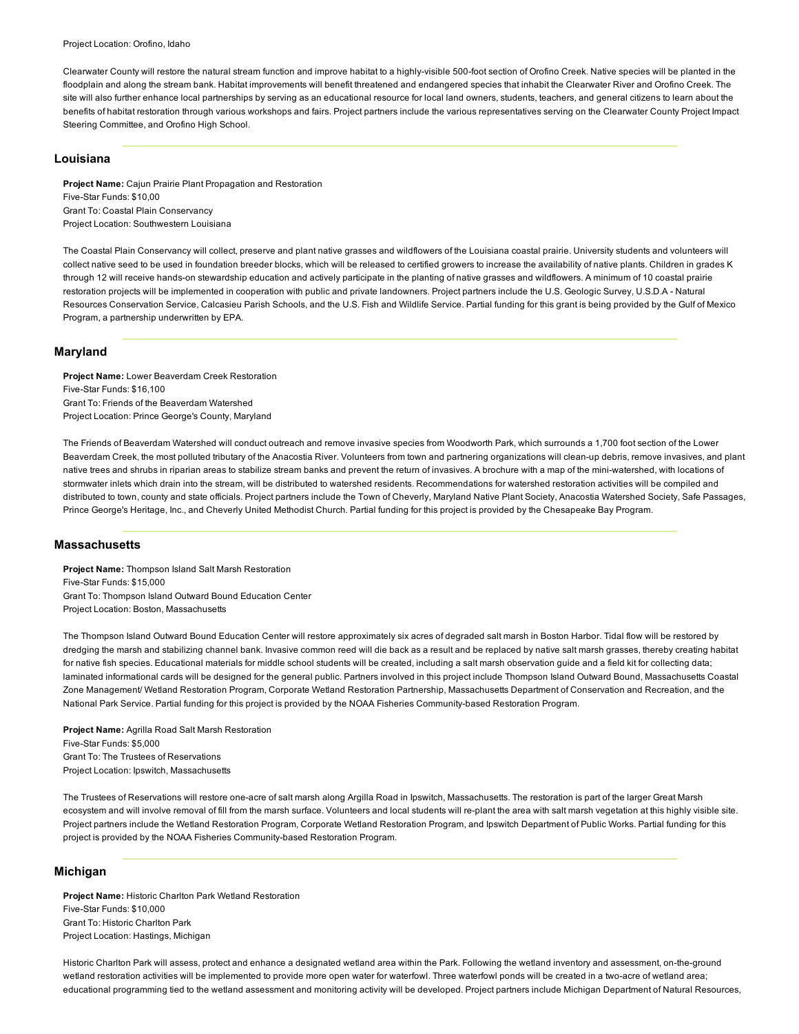Clearwater County will restore the natural stream function and improve habitat to a highly-visible 500-foot section of Orofino Creek. Native species will be planted in the floodplain and along the stream bank. Habitat improvements will benefit threatened and endangered species that inhabit the Clearwater River and Orofino Creek. The site will also further enhance local partnerships by serving as an educational resource for local land owners, students, teachers, and general citizens to learn about the benefits of habitat restoration through various workshops and fairs. Project partners include the various representatives serving on the Clearwater County Project Impact Steering Committee, and Orofino High School.

#### Louisiana

Project Name: Cajun Prairie Plant Propagation and Restoration Five-Star Funds: \$10,00 Grant To: Coastal Plain Conservancy Project Location: Southwestern Louisiana

The Coastal Plain Conservancy will collect, preserve and plant native grasses and wildflowers of the Louisiana coastal prairie. University students and volunteers will collect native seed to be used in foundation breeder blocks, which will be released to certified growers to increase the availability of native plants. Children in grades K through 12 will receive hands-on stewardship education and actively participate in the planting of native grasses and wildflowers. A minimum of 10 coastal prairie restoration projects will be implemented in cooperation with public and private landowners. Project partners include the U.S. Geologic Survey, U.S.D.A - Natural Resources Conservation Service, Calcasieu Parish Schools, and the U.S. Fish and Wildlife Service. Partial funding for this grant is being provided by the Gulf of Mexico Program, a partnership underwritten by EPA.

#### Maryland

Project Name: Lower Beaverdam Creek Restoration Five-Star Funds: \$16,100 Grant To: Friends of the Beaverdam Watershed Project Location: Prince George's County, Maryland

The Friends of Beaverdam Watershed will conduct outreach and remove invasive species from Woodworth Park, which surrounds a 1,700 foot section of the Lower Beaverdam Creek, the most polluted tributary of the Anacostia River. Volunteers from town and partnering organizations will clean-up debris, remove invasives, and plant native trees and shrubs in riparian areas to stabilize stream banks and prevent the return of invasives. A brochure with a map of the mini-watershed, with locations of stormwater inlets which drain into the stream, will be distributed to watershed residents. Recommendations for watershed restoration activities will be compiled and distributed to town, county and state officials. Project partners include the Town of Cheverly, Maryland Native Plant Society, Anacostia Watershed Society, Safe Passages, Prince George's Heritage, Inc., and Cheverly United Methodist Church. Partial funding for this project is provided by the Chesapeake Bay Program.

#### **Massachusetts**

Project Name: Thompson Island Salt Marsh Restoration Five-Star Funds: \$15,000 Grant To: Thompson Island Outward Bound Education Center Project Location: Boston, Massachusetts

The Thompson Island Outward Bound Education Center will restore approximately six acres of degraded salt marsh in Boston Harbor. Tidal flow will be restored by dredging the marsh and stabilizing channel bank. Invasive common reed will die back as a result and be replaced by native salt marsh grasses, thereby creating habitat for native fish species. Educational materials for middle school students will be created, including a salt marsh observation guide and a field kit for collecting data; laminated informational cards will be designed for the general public. Partners involved in this project include Thompson Island Outward Bound, Massachusetts Coastal Zone Management/ Wetland Restoration Program, Corporate Wetland Restoration Partnership, Massachusetts Department of Conservation and Recreation, and the National Park Service. Partial funding for this project is provided by the NOAA Fisheries Community-based Restoration Program.

Project Name: Agrilla Road Salt Marsh Restoration Five-Star Funds: \$5,000 Grant To: The Trustees of Reservations Project Location: Ipswitch, Massachusetts

The Trustees of Reservations will restore one-acre of salt marsh along Argilla Road in Ipswitch, Massachusetts. The restoration is part of the larger Great Marsh ecosystem and will involve removal of fill from the marsh surface. Volunteers and local students will re-plant the area with salt marsh vegetation at this highly visible site. Project partners include the Wetland Restoration Program, Corporate Wetland Restoration Program, and Ipswitch Department of Public Works. Partial funding for this project is provided by the NOAA Fisheries Community-based Restoration Program.

#### Michigan

Project Name: Historic Charlton Park Wetland Restoration Five-Star Funds: \$10,000 Grant To: Historic Charlton Park Project Location: Hastings, Michigan

Historic Charlton Park will assess, protect and enhance a designated wetland area within the Park. Following the wetland inventory and assessment, on-the-ground wetland restoration activities will be implemented to provide more open water for waterfowl. Three waterfowl ponds will be created in a two-acre of wetland area; educational programming tied to the wetland assessment and monitoring activity will be developed. Project partners include Michigan Department of Natural Resources,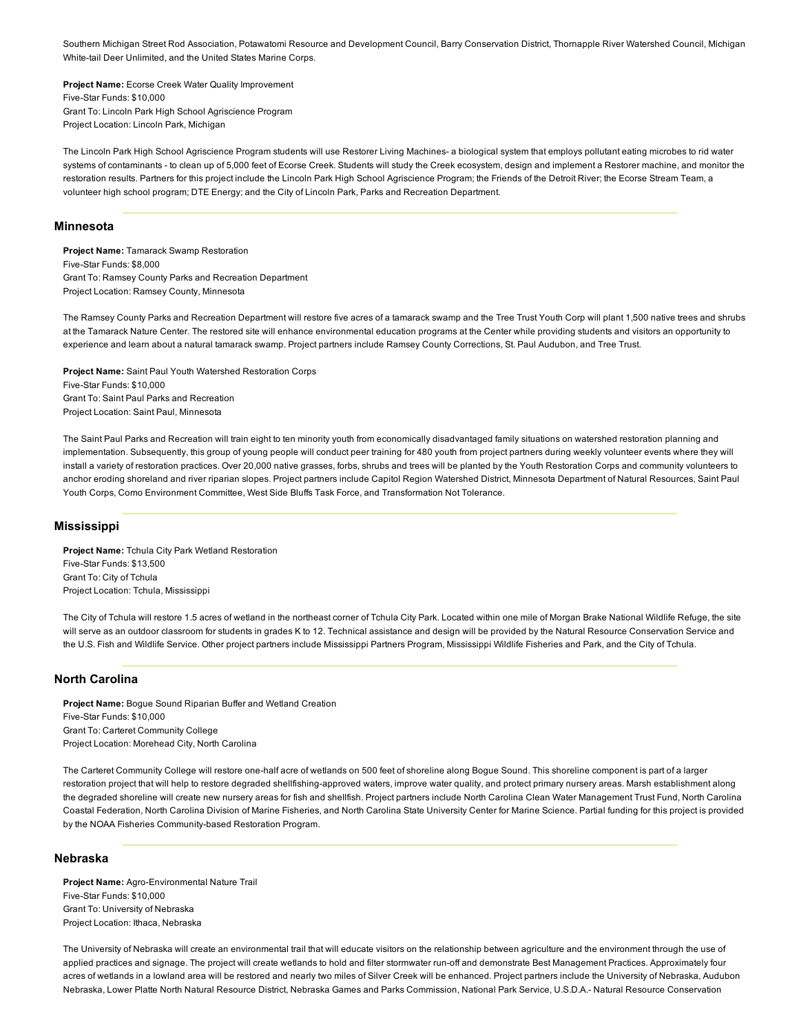Southern Michigan Street Rod Association, Potawatomi Resource and Development Council, Barry Conservation District, Thornapple River Watershed Council, Michigan White-tail Deer Unlimited, and the United States Marine Corps.

Project Name: Ecorse Creek Water Quality Improvement Five-Star Funds: \$10,000 Grant To: Lincoln Park High School Agriscience Program Project Location: Lincoln Park, Michigan

The Lincoln Park High School Agriscience Program students will use Restorer Living Machines a biological system that employs pollutant eating microbes to rid water systems of contaminants - to clean up of 5,000 feet of Ecorse Creek. Students will study the Creek ecosystem, design and implement a Restorer machine, and monitor the restoration results. Partners for this project include the Lincoln Park High School Agriscience Program; the Friends of the Detroit River; the Ecorse Stream Team, a volunteer high school program; DTE Energy; and the City of Lincoln Park, Parks and Recreation Department.

#### Minnesota

Project Name: Tamarack Swamp Restoration Five-Star Funds: \$8,000 Grant To: Ramsey County Parks and Recreation Department Project Location: Ramsey County, Minnesota

The Ramsey County Parks and Recreation Department will restore five acres of a tamarack swamp and the Tree Trust Youth Corp will plant 1,500 native trees and shrubs at the Tamarack Nature Center. The restored site will enhance environmental education programs at the Center while providing students and visitors an opportunity to experience and learn about a natural tamarack swamp. Project partners include Ramsey County Corrections, St. Paul Audubon, and Tree Trust.

Project Name: Saint Paul Youth Watershed Restoration Corps Five-Star Funds: \$10,000 Grant To: Saint Paul Parks and Recreation Project Location: Saint Paul, Minnesota

The Saint Paul Parks and Recreation will train eight to ten minority youth from economically disadvantaged family situations on watershed restoration planning and implementation. Subsequently, this group of young people will conduct peer training for 480 youth from project partners during weekly volunteer events where they will install a variety of restoration practices. Over 20,000 native grasses, forbs, shrubs and trees will be planted by the Youth Restoration Corps and community volunteers to anchor eroding shoreland and river riparian slopes. Project partners include Capitol Region Watershed District, Minnesota Department of Natural Resources, Saint Paul Youth Corps, Como Environment Committee, West Side Bluffs Task Force, and Transformation Not Tolerance.

## Mississippi

Project Name: Tchula City Park Wetland Restoration Five-Star Funds: \$13,500 Grant To: City of Tchula Project Location: Tchula, Mississippi

The City of Tchula will restore 1.5 acres of wetland in the northeast corner of Tchula City Park. Located within one mile of Morgan Brake National Wildlife Refuge, the site will serve as an outdoor classroom for students in grades K to 12. Technical assistance and design will be provided by the Natural Resource Conservation Service and the U.S. Fish and Wildlife Service. Other project partners include Mississippi Partners Program, Mississippi Wildlife Fisheries and Park, and the City of Tchula.

## North Carolina

Project Name: Bogue Sound Riparian Buffer and Wetland Creation Five-Star Funds: \$10,000 Grant To: Carteret Community College Project Location: Morehead City, North Carolina

The Carteret Community College will restore one-half acre of wetlands on 500 feet of shoreline along Bogue Sound. This shoreline component is part of a larger restoration project that will help to restore degraded shellfishing-approved waters, improve water quality, and protect primary nursery areas. Marsh establishment along the degraded shoreline will create new nursery areas for fish and shellfish. Project partners include North Carolina Clean Water Management Trust Fund, North Carolina Coastal Federation, North Carolina Division of Marine Fisheries, and North Carolina State University Center for Marine Science. Partial funding for this project is provided by the NOAA Fisheries Community-based Restoration Program.

## Nebraska

Project Name: Agro-Environmental Nature Trail Five-Star Funds: \$10,000 Grant To: University of Nebraska Project Location: Ithaca, Nebraska

The University of Nebraska will create an environmental trail that will educate visitors on the relationship between agriculture and the environment through the use of applied practices and signage. The project will create wetlands to hold and filter stormwater run-off and demonstrate Best Management Practices. Approximately four acres of wetlands in a lowland area will be restored and nearly two miles of Silver Creek will be enhanced. Project partners include the University of Nebraska, Audubon Nebraska, Lower Platte North Natural Resource District, Nebraska Games and Parks Commission, National Park Service, U.S.D.A. Natural Resource Conservation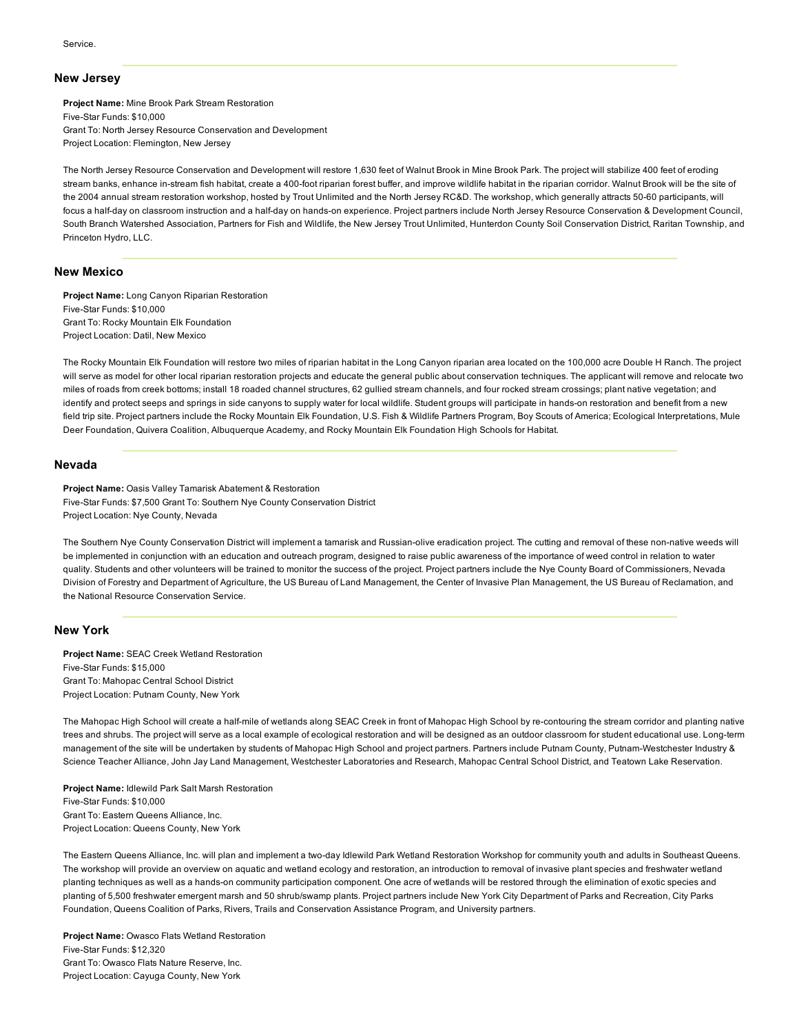#### New Jersey

Project Name: Mine Brook Park Stream Restoration Five-Star Funds: \$10,000 Grant To: North Jersey Resource Conservation and Development Project Location: Flemington, New Jersey

The North Jersey Resource Conservation and Development will restore 1,630 feet of Walnut Brook in Mine Brook Park. The project will stabilize 400 feet of eroding stream banks, enhance in-stream fish habitat, create a 400-foot riparian forest buffer, and improve wildlife habitat in the riparian corridor. Walnut Brook will be the site of the 2004 annual stream restoration workshop, hosted by Trout Unlimited and the North Jersey RC&D. The workshop, which generally attracts 50-60 participants, will focus a half-day on classroom instruction and a half-day on hands-on experience. Project partners include North Jersey Resource Conservation & Development Council, South Branch Watershed Association, Partners for Fish and Wildlife, the New Jersey Trout Unlimited, Hunterdon County Soil Conservation District, Raritan Township, and Princeton Hydro, LLC.

#### New Mexico

Project Name: Long Canyon Riparian Restoration Five-Star Funds: \$10,000 Grant To: Rocky Mountain Elk Foundation Project Location: Datil, New Mexico

The Rocky Mountain Elk Foundation will restore two miles of riparian habitat in the Long Canyon riparian area located on the 100,000 acre Double H Ranch. The project will serve as model for other local riparian restoration projects and educate the general public about conservation techniques. The applicant will remove and relocate two miles of roads from creek bottoms; install 18 roaded channel structures, 62 gullied stream channels, and four rocked stream crossings; plant native vegetation; and identify and protect seeps and springs in side canyons to supply water for local wildlife. Student groups will participate in hands-on restoration and benefit from a new field trip site. Project partners include the Rocky Mountain Elk Foundation, U.S. Fish & Wildlife Partners Program, Boy Scouts of America; Ecological Interpretations, Mule Deer Foundation, Quivera Coalition, Albuquerque Academy, and Rocky Mountain Elk Foundation High Schools for Habitat.

#### Nevada

Project Name: Oasis Valley Tamarisk Abatement & Restoration Five-Star Funds: \$7,500 Grant To: Southern Nye County Conservation District Project Location: Nye County, Nevada

The Southern Nye County Conservation District will implement a tamarisk and Russian-olive eradication project. The cutting and removal of these non-native weeds will be implemented in conjunction with an education and outreach program, designed to raise public awareness of the importance of weed control in relation to water quality. Students and other volunteers will be trained to monitor the success of the project. Project partners include the Nye County Board of Commissioners, Nevada Division of Forestry and Department of Agriculture, the US Bureau of Land Management, the Center of Invasive Plan Management, the US Bureau of Reclamation, and the National Resource Conservation Service.

#### New York

Project Name: SEAC Creek Wetland Restoration Five-Star Funds: \$15,000 Grant To: Mahopac Central School District Project Location: Putnam County, New York

The Mahopac High School will create a half-mile of wetlands along SEAC Creek in front of Mahopac High School by re-contouring the stream corridor and planting native trees and shrubs. The project will serve as a local example of ecological restoration and will be designed as an outdoor classroom for student educational use. Long-term management of the site will be undertaken by students of Mahopac High School and project partners. Partners include Putnam County, Putnam-Westchester Industry & Science Teacher Alliance, John Jay Land Management, Westchester Laboratories and Research, Mahopac Central School District, and Teatown Lake Reservation.

Project Name: Idlewild Park Salt Marsh Restoration Five-Star Funds: \$10,000 Grant To: Eastern Queens Alliance, Inc. Project Location: Queens County, New York

The Eastern Queens Alliance, Inc. will plan and implement a two-day Idlewild Park Wetland Restoration Workshop for community youth and adults in Southeast Queens. The workshop will provide an overview on aquatic and wetland ecology and restoration, an introduction to removal of invasive plant species and freshwater wetland planting techniques as well as a hands-on community participation component. One acre of wetlands will be restored through the elimination of exotic species and planting of 5,500 freshwater emergent marsh and 50 shrub/swamp plants. Project partners include New York City Department of Parks and Recreation, City Parks Foundation, Queens Coalition of Parks, Rivers, Trails and Conservation Assistance Program, and University partners.

Project Name: Owasco Flats Wetland Restoration Five-Star Funds: \$12,320 Grant To: Owasco Flats Nature Reserve, Inc. Project Location: Cayuga County, New York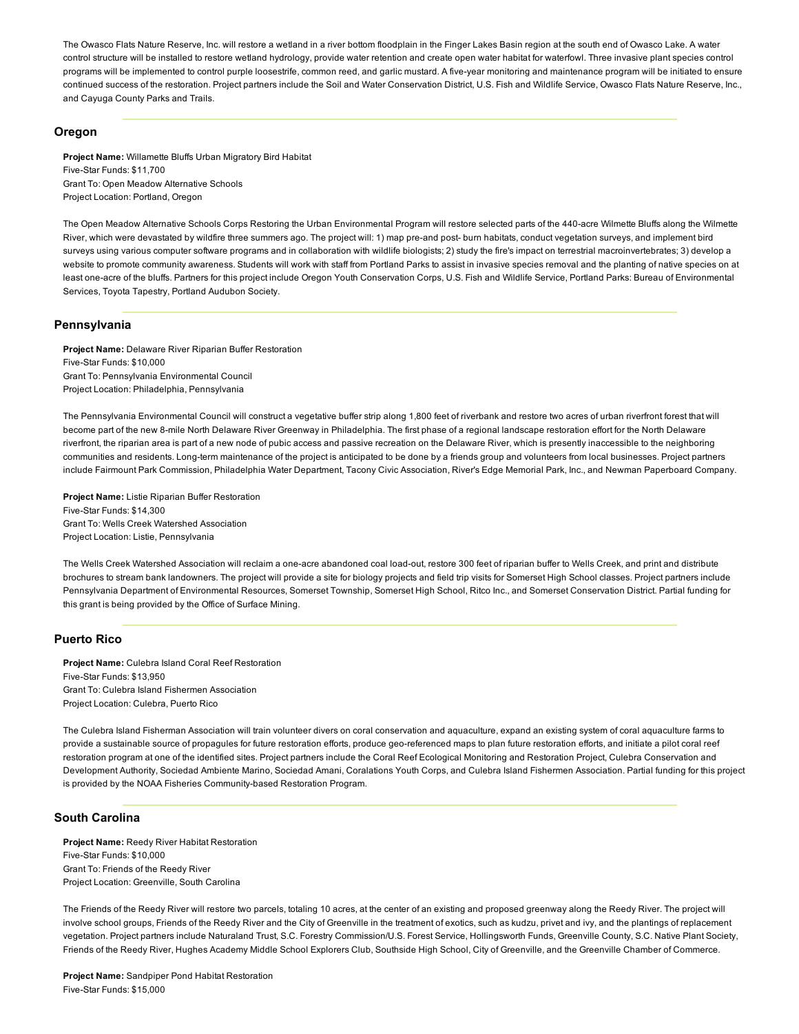The Owasco Flats Nature Reserve, Inc. will restore a wetland in a river bottom floodplain in the Finger Lakes Basin region at the south end of Owasco Lake. A water control structure will be installed to restore wetland hydrology, provide water retention and create open water habitat for waterfowl. Three invasive plant species control programs will be implemented to control purple loosestrife, common reed, and garlic mustard. A five-year monitoring and maintenance program will be initiated to ensure continued success of the restoration. Project partners include the Soil and Water Conservation District, U.S. Fish and Wildlife Service, Owasco Flats Nature Reserve, Inc., and Cayuga County Parks and Trails.

## Oregon

Project Name: Willamette Bluffs Urban Migratory Bird Habitat Five-Star Funds: \$11,700 Grant To: Open Meadow Alternative Schools Project Location: Portland, Oregon

The Open Meadow Alternative Schools Corps Restoring the Urban Environmental Program will restore selected parts of the 440-acre Wilmette Bluffs along the Wilmette River, which were devastated by wildfire three summers ago. The project will: 1) map pre-and post- burn habitats, conduct vegetation surveys, and implement bird surveys using various computer software programs and in collaboration with wildlife biologists; 2) study the fire's impact on terrestrial macroinvertebrates; 3) develop a website to promote community awareness. Students will work with staff from Portland Parks to assist in invasive species removal and the planting of native species on at least one-acre of the bluffs. Partners for this project include Oregon Youth Conservation Corps, U.S. Fish and Wildlife Service, Portland Parks: Bureau of Environmental Services, Toyota Tapestry, Portland Audubon Society.

## Pennsylvania

Project Name: Delaware River Riparian Buffer Restoration Five-Star Funds: \$10,000 Grant To: Pennsylvania Environmental Council Project Location: Philadelphia, Pennsylvania

The Pennsylvania Environmental Council will construct a vegetative buffer strip along 1,800 feet of riverbank and restore two acres of urban riverfront forest that will become part of the new 8mile North Delaware River Greenway in Philadelphia. The first phase of a regional landscape restoration effort for the North Delaware riverfront, the riparian area is part of a new node of pubic access and passive recreation on the Delaware River, which is presently inaccessible to the neighboring communities and residents. Long-term maintenance of the project is anticipated to be done by a friends group and volunteers from local businesses. Project partners include Fairmount Park Commission, Philadelphia Water Department, Tacony Civic Association, River's Edge Memorial Park, Inc., and Newman Paperboard Company.

Project Name: Listie Riparian Buffer Restoration Five-Star Funds: \$14,300 Grant To: Wells Creek Watershed Association Project Location: Listie, Pennsylvania

The Wells Creek Watershed Association will reclaim a one-acre abandoned coal load-out, restore 300 feet of riparian buffer to Wells Creek, and print and distribute brochures to stream bank landowners. The project will provide a site for biology projects and field trip visits for Somerset High School classes. Project partners include Pennsylvania Department of Environmental Resources, Somerset Township, Somerset High School, Ritco Inc., and Somerset Conservation District. Partial funding for this grant is being provided by the Office of Surface Mining.

# Puerto Rico

Project Name: Culebra Island Coral Reef Restoration Five-Star Funds: \$13,950 Grant To: Culebra Island Fishermen Association Project Location: Culebra, Puerto Rico

The Culebra Island Fisherman Association will train volunteer divers on coral conservation and aquaculture, expand an existing system of coral aquaculture farms to provide a sustainable source of propagules for future restoration efforts, produce geo-referenced maps to plan future restoration efforts, and initiate a pilot coral reef restoration program at one of the identified sites. Project partners include the Coral Reef Ecological Monitoring and Restoration Project, Culebra Conservation and Development Authority, Sociedad Ambiente Marino, Sociedad Amani, Coralations Youth Corps, and Culebra Island Fishermen Association. Partial funding for this project is provided by the NOAA Fisheries Community-based Restoration Program.

# South Carolina

Project Name: Reedy River Habitat Restoration Five-Star Funds: \$10,000 Grant To: Friends of the Reedy River Project Location: Greenville, South Carolina

The Friends of the Reedy River will restore two parcels, totaling 10 acres, at the center of an existing and proposed greenway along the Reedy River. The project will involve school groups, Friends of the Reedy River and the City of Greenville in the treatment of exotics, such as kudzu, privet and ivy, and the plantings of replacement vegetation. Project partners include Naturaland Trust, S.C. Forestry Commission/U.S. Forest Service, Hollingsworth Funds, Greenville County, S.C. Native Plant Society, Friends of the Reedy River, Hughes Academy Middle School Explorers Club, Southside High School, City of Greenville, and the Greenville Chamber of Commerce.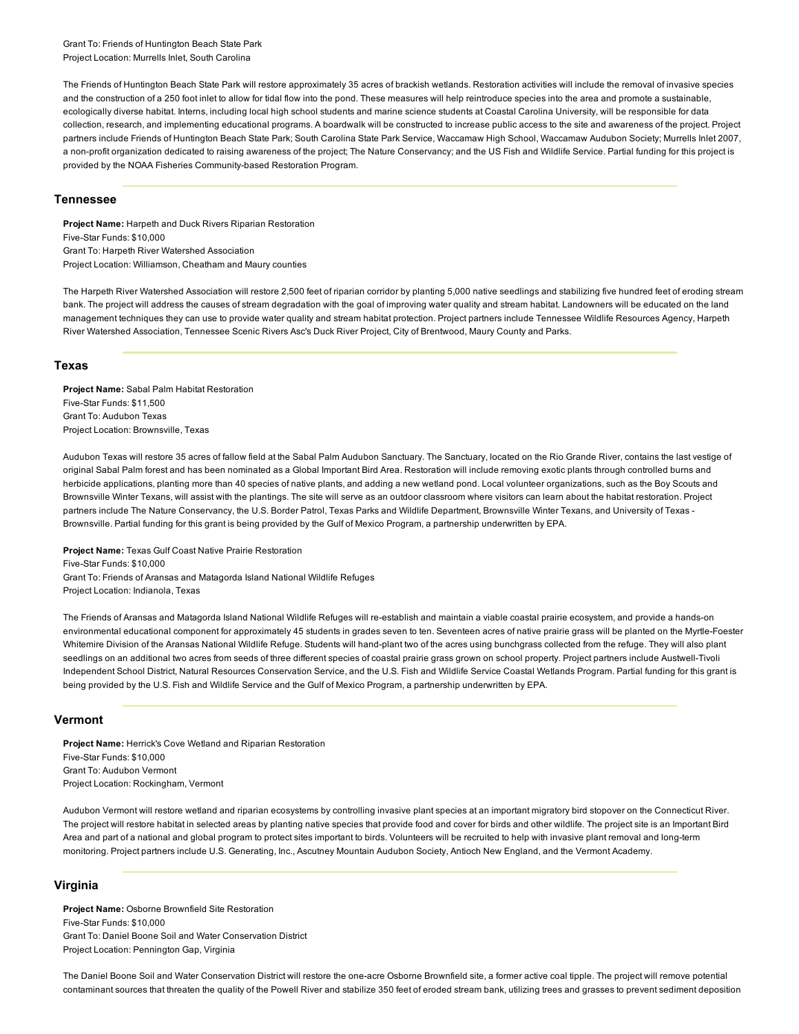Grant To: Friends of Huntington Beach State Park Project Location: Murrells Inlet, South Carolina

The Friends of Huntington Beach State Park will restore approximately 35 acres of brackish wetlands. Restoration activities will include the removal of invasive species and the construction of a 250 foot inlet to allow for tidal flow into the pond. These measures will help reintroduce species into the area and promote a sustainable, ecologically diverse habitat. Interns, including local high school students and marine science students at Coastal Carolina University, will be responsible for data collection, research, and implementing educational programs. A boardwalk will be constructed to increase public access to the site and awareness of the project. Project partners include Friends of Huntington Beach State Park; South Carolina State Park Service, Waccamaw High School, Waccamaw Audubon Society; Murrells Inlet 2007, a non-profit organization dedicated to raising awareness of the project; The Nature Conservancy; and the US Fish and Wildlife Service. Partial funding for this project is provided by the NOAA Fisheries Community-based Restoration Program.

#### Tennessee

Project Name: Harpeth and Duck Rivers Riparian Restoration Five-Star Funds: \$10,000 Grant To: Harpeth River Watershed Association Project Location: Williamson, Cheatham and Maury counties

The Harpeth River Watershed Association will restore 2,500 feet of riparian corridor by planting 5,000 native seedlings and stabilizing five hundred feet of eroding stream bank. The project will address the causes of stream degradation with the goal of improving water quality and stream habitat. Landowners will be educated on the land management techniques they can use to provide water quality and stream habitat protection. Project partners include Tennessee Wildlife Resources Agency, Harpeth River Watershed Association, Tennessee Scenic Rivers Asc's Duck River Project, City of Brentwood, Maury County and Parks.

#### Texas

Project Name: Sabal Palm Habitat Restoration Five-Star Funds: \$11,500 Grant To: Audubon Texas Project Location: Brownsville, Texas

Audubon Texas will restore 35 acres of fallow field at the Sabal Palm Audubon Sanctuary. The Sanctuary, located on the Rio Grande River, contains the last vestige of original Sabal Palm forest and has been nominated as a Global Important Bird Area. Restoration will include removing exotic plants through controlled burns and herbicide applications, planting more than 40 species of native plants, and adding a new wetland pond. Local volunteer organizations, such as the Boy Scouts and Brownsville Winter Texans, will assist with the plantings. The site will serve as an outdoor classroom where visitors can learn about the habitat restoration. Project partners include The Nature Conservancy, the U.S. Border Patrol, Texas Parks and Wildlife Department, Brownsville Winter Texans, and University of Texas -Brownsville. Partial funding for this grant is being provided by the Gulf of Mexico Program, a partnership underwritten by EPA.

Project Name: Texas Gulf Coast Native Prairie Restoration Five-Star Funds: \$10,000 Grant To: Friends of Aransas and Matagorda Island National Wildlife Refuges Project Location: Indianola, Texas

The Friends of Aransas and Matagorda Island National Wildlife Refuges will re-establish and maintain a viable coastal prairie ecosystem, and provide a hands-on environmental educational component for approximately 45 students in grades seven to ten. Seventeen acres of native prairie grass will be planted on the Myrtle-Foester Whitemire Division of the Aransas National Wildlife Refuge. Students will hand-plant two of the acres using bunchgrass collected from the refuge. They will also plant seedlings on an additional two acres from seeds of three different species of coastal prairie grass grown on school property. Project partners include Austwell-Tivoli Independent School District, Natural Resources Conservation Service, and the U.S. Fish and Wildlife Service Coastal Wetlands Program. Partial funding for this grant is being provided by the U.S. Fish and Wildlife Service and the Gulf of Mexico Program, a partnership underwritten by EPA.

## Vermont

Project Name: Herrick's Cove Wetland and Riparian Restoration Five-Star Funds: \$10,000 Grant To: Audubon Vermont Project Location: Rockingham, Vermont

Audubon Vermont will restore wetland and riparian ecosystems by controlling invasive plant species at an important migratory bird stopover on the Connecticut River. The project will restore habitat in selected areas by planting native species that provide food and cover for birds and other wildlife. The project site is an Important Bird Area and part of a national and global program to protect sites important to birds. Volunteers will be recruited to help with invasive plant removal and long-term monitoring. Project partners include U.S. Generating, Inc., Ascutney Mountain Audubon Society, Antioch New England, and the Vermont Academy.

#### Virginia

Project Name: Osborne Brownfield Site Restoration Five-Star Funds: \$10,000 Grant To: Daniel Boone Soil and Water Conservation District Project Location: Pennington Gap, Virginia

The Daniel Boone Soil and Water Conservation District will restore the one-acre Osborne Brownfield site, a former active coal tipple. The project will remove potential contaminant sources that threaten the quality of the Powell River and stabilize 350 feet of eroded stream bank, utilizing trees and grasses to prevent sediment deposition